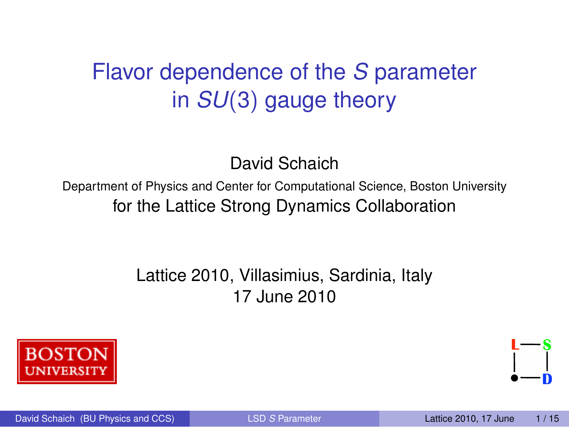## Flavor dependence of the *S* parameter in *SU*(3) gauge theory

<span id="page-0-0"></span>David Schaich

Department of Physics and Center for Computational Science, Boston University for the Lattice Strong Dynamics Collaboration

### Lattice 2010, Villasimius, Sardinia, Italy 17 June 2010

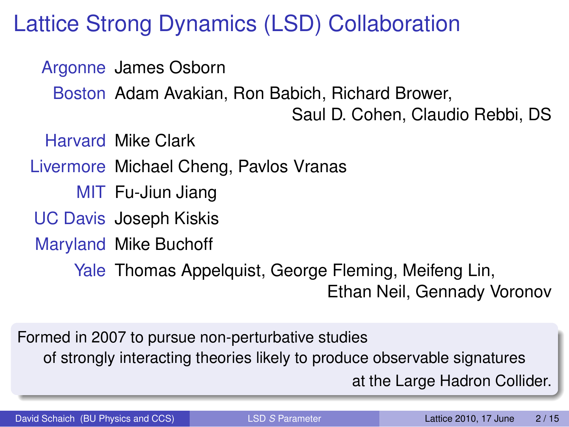### Lattice Strong Dynamics (LSD) Collaboration

Argonne James Osborn

Boston Adam Avakian, Ron Babich, Richard Brower,

Saul D. Cohen, Claudio Rebbi, DS

Harvard Mike Clark

Livermore Michael Cheng, Pavlos Vranas

MIT Fu-Jiun Jiang

UC Davis Joseph Kiskis

Maryland Mike Buchoff

Yale Thomas Appelquist, George Fleming, Meifeng Lin, Ethan Neil, Gennady Voronov

Formed in 2007 to pursue non-perturbative studies of strongly interacting theories likely to produce observable signatures at the Large Hadron Collider.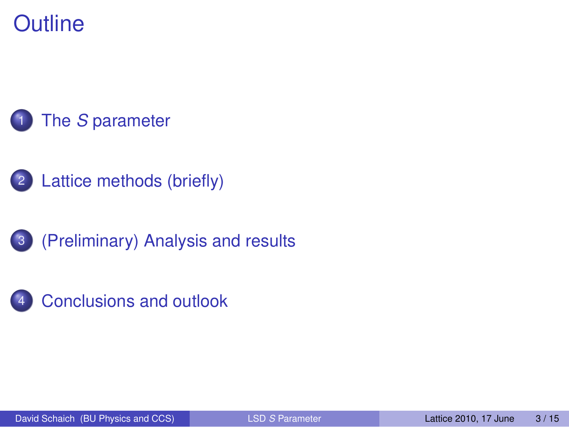**Outline** 



- [Lattice methods \(briefly\)](#page-9-0)
- [\(Preliminary\) Analysis and results](#page-12-0)

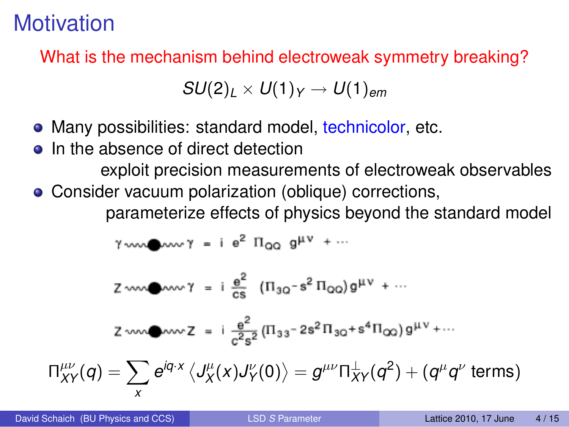## **Motivation**

What is the mechanism behind electroweak symmetry breaking?

 $SU(2)_l \times U(1)_Y \rightarrow U(1)_{em}$ 

- Many possibilities: standard model, technicolor, etc.
- In the absence of direct detection

exploit precision measurements of electroweak observables

Consider vacuum polarization (oblique) corrections, parameterize effects of physics beyond the standard model

$$
\gamma_{\text{vav}} \bullet_{\text{vav}} \gamma = i e^2 \Pi_{\text{QQ}} g^{\mu \nu} + \cdots
$$

$$
Z \sim 100 \text{ mW} \cdot \text{s} = i \frac{e^2}{cs} \left( \Pi_{3Q} - s^2 \Pi_{QQ} \right) g^{\mu \nu} + \cdots
$$

<span id="page-3-0"></span>
$$
Z\sim 2\pi\hbar\omega_0\sim Z\ =\ i\ {e^2\over c^2s^2}\,\big(\Pi_{33}{}^-2s^2\Pi_{30}{}+s^4\Pi_{00}\big)\,g^{\mu\nu}+\cdots
$$

$$
\Pi_{XY}^{\mu\nu}(q)=\sum_{x}e^{iq\cdot x}\left\langle J_X^{\mu}(x)J_Y^{\nu}(0)\right\rangle=g^{\mu\nu}\Pi_{XY}^{\perp}(q^2)+(q^{\mu}q^{\nu} \text{ terms})
$$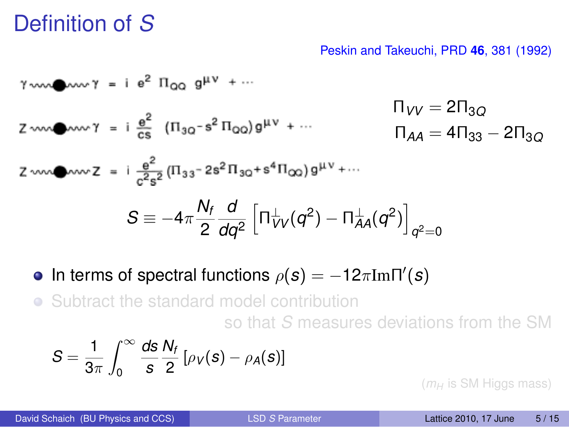### Definition of *S*

#### Peskin and Takeuchi, PRD **46**, 381 (1992)

Π*VV* = 2Π3*<sup>Q</sup>* Π*AA* = 4Π<sup>33</sup> − 2Π3*<sup>Q</sup> S* ≡ −4π *Nf* 2 *d dq*<sup>2</sup> h Π ⊥ *VV* (*q* 2 ) − Π ⊥ *AA*(*q* 2 ) i *q* <sup>2</sup>=0

In terms of spectral functions  $\rho(s) = -12\pi\text{Im}\Pi'(s)$ 

Subtract the standard model contribution so that *S* measures deviations from the SM

$$
S=\frac{1}{3\pi}\int_0^\infty \frac{ds}{s}\frac{N_f}{2}\left[\rho_V(s)-\rho_A(s)\right]
$$

 $(m_H)$  is SM Higgs mass)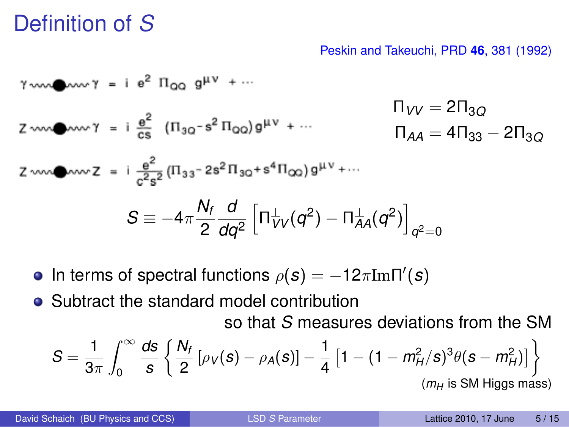### Definition of *S*

#### Peskin and Takeuchi, PRD **46**, 381 (1992)

$$
7 \text{ cm} \longrightarrow \gamma = i e^{2} \Pi_{QQ} g^{\mu\nu} + \cdots
$$
\n
$$
T_{VV} = 2 \Pi_{3Q}
$$
\n
$$
2 \text{ cm} \longrightarrow \gamma = i \frac{e^{2}}{cs} (\Pi_{3Q} - s^{2} \Pi_{QQ}) g^{\mu\nu} + \cdots
$$
\n
$$
T_{AA} = 4 \Pi_{33} - 2 \Pi_{3Q}
$$
\n
$$
2 \text{ cm} \longrightarrow \gamma = i \frac{e^{2}}{c^{2}s^{2}} (\Pi_{33} - 2s^{2} \Pi_{3Q} + s^{4} \Pi_{QQ}) g^{\mu\nu} + \cdots
$$
\n
$$
S \equiv -4 \pi \frac{N_{f}}{2} \frac{d}{dq^{2}} [\Pi_{VV}^{\perp}(q^{2}) - \Pi_{AA}^{\perp}(q^{2})]_{q^{2}=0}
$$

- In terms of spectral functions  $\rho(s) = -12\pi\text{Im}\Pi'(s)$
- Subtract the standard model contribution so that *S* measures deviations from the SM

$$
S = \frac{1}{3\pi} \int_0^{\infty} \frac{ds}{s} \left\{ \frac{N_f}{2} \left[ \rho_V(s) - \rho_A(s) \right] - \frac{1}{4} \left[ 1 - (1 - m_H^2/s)^3 \theta(s - m_H^2) \right] \right\}
$$
  
(*m<sub>H</sub>* is SM Higgs mass)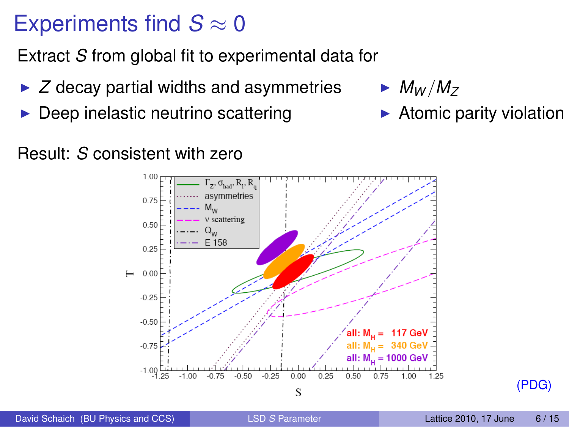### Experiments find  $S \approx 0$

Extract *S* from global fit to experimental data for

- $\triangleright$  *Z* decay partial widths and asymmetries
- Deep inelastic neutrino scattering

 $\blacktriangleright$  *M<sub>W</sub>*/*M<sub>Z</sub>* 

 $\blacktriangleright$  Atomic parity violation

Result: *S* consistent with zero



David Schaich (BU Physics and CCS) LSD *S* [Parameter](#page-0-0) Lattice 2010, 17 June 6/15

(PDG)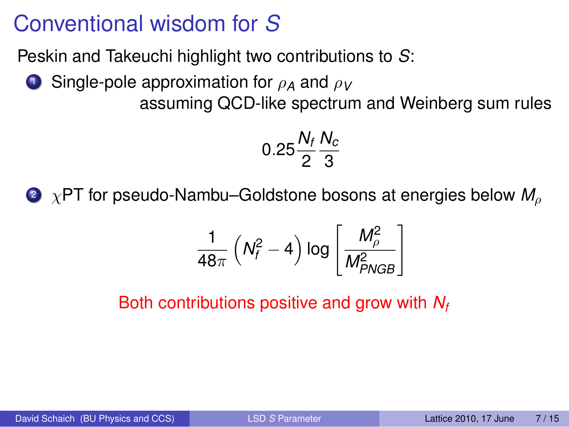### Conventional wisdom for *S*

Peskin and Takeuchi highlight two contributions to *S*:

<sup>1</sup> Single-pole approximation for ρ*<sup>A</sup>* and ρ*<sup>V</sup>*

assuming QCD-like spectrum and Weinberg sum rules

$$
0.25\frac{N_f}{2}\frac{N_c}{3}
$$

<sup>2</sup> χPT for pseudo-Nambu–Goldstone bosons at energies below *M*<sup>ρ</sup>

$$
\frac{1}{48\pi}\left(N_f^2-4\right) \log\left[\frac{M_{\rho}^2}{M_{PNGB}^2}\right]
$$

Both contributions positive and grow with *N<sup>f</sup>*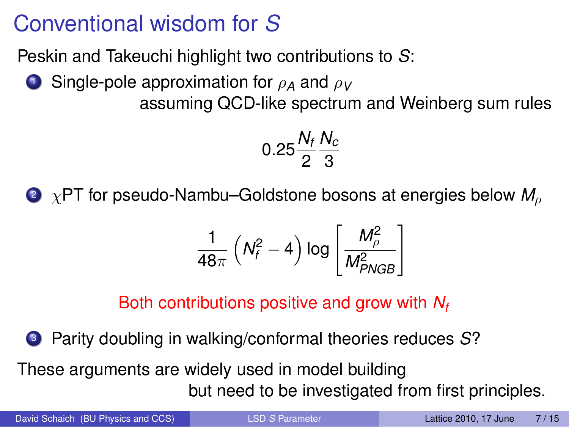### Conventional wisdom for *S*

Peskin and Takeuchi highlight two contributions to *S*:

**1** Single-pole approximation for  $ρ_A$  and  $ρ_V$ assuming QCD-like spectrum and Weinberg sum rules

> 0.25 $\frac{N_f}{2}$ *Nc* 3

<sup>2</sup> χPT for pseudo-Nambu–Goldstone bosons at energies below *M*<sup>ρ</sup>

$$
\frac{1}{48\pi}\left(N_f^2-4\right) \log\left[\frac{M_\rho^2}{M_{PNGB}^2}\right]
$$

Both contributions positive and grow with *N<sup>f</sup>*

<sup>3</sup> Parity doubling in walking/conformal theories reduces *S*?

These arguments are widely used in model building but need to be investigated from first principles.

David Schaich (BU Physics and CCS) LSD *S* [Parameter](#page-0-0) Lattice 2010, 17 June 7/15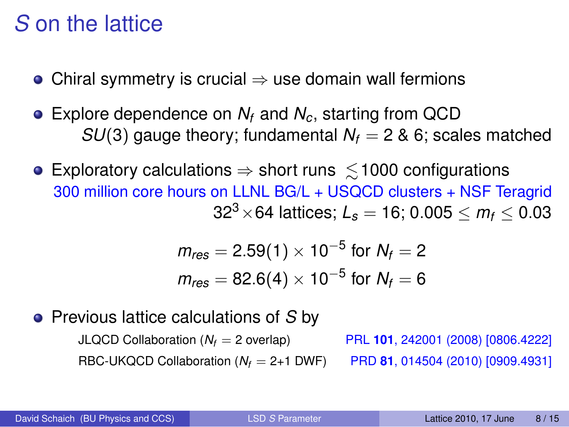### *S* on the lattice

- Chiral symmetry is crucial  $\Rightarrow$  use domain wall fermions
- Explore dependence on *N<sup>f</sup>* and *Nc*, starting from QCD *SU*(3) gauge theory; fundamental  $N_f = 2$  & 6; scales matched
- Exploratory calculations  $\Rightarrow$  short runs  $\leq$  1000 configurations 300 million core hours on LLNL BG/L + USQCD clusters + NSF Teragrid  $32^3 \times 64$  lattices;  $L_s = 16$ ; 0.005  $\leq m_f \leq 0.03$

<span id="page-9-0"></span>
$$
m_{res} = 2.59(1) \times 10^{-5} \text{ for } N_f = 2
$$
  

$$
m_{res} = 82.6(4) \times 10^{-5} \text{ for } N_f = 6
$$

### Previous lattice calculations of *S* by

JLQCD Collaboration (*N<sup>f</sup>* = 2 overlap) PRL **101**, 242001 (2008) [0806.4222] RBC-UKQCD Collaboration (*N<sup>f</sup>* = 2+1 DWF) PRD **81**, 014504 (2010) [0909.4931]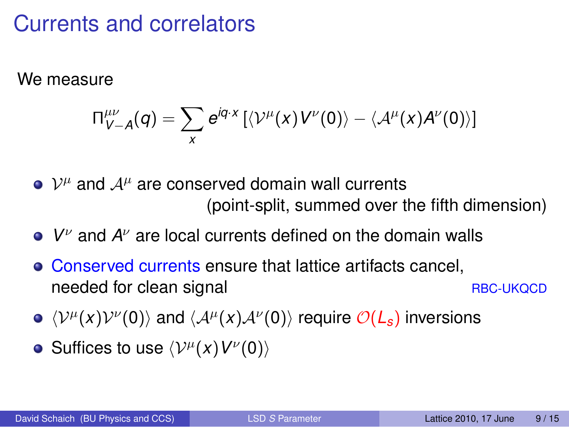### Currents and correlators

We measure

$$
\Pi^{\mu\nu}_{V-A}(q)=\sum_{x}e^{iq\cdot x}\left[\langle \mathcal{V}^{\mu}(x)V^{\nu}(0)\rangle-\langle \mathcal{A}^{\mu}(x)A^{\nu}(0)\rangle\right]
$$

 $\mathcal{V}^{\mu}$  and  $\mathcal{A}^{\mu}$  are conserved domain wall currents (point-split, summed over the fifth dimension)

- *V* <sup>ν</sup> and *A* <sup>ν</sup> are local currents defined on the domain walls
- Conserved currents ensure that lattice artifacts cancel, needed for clean signal RBC-UKQCD
- $\langle V^{\mu}(x)V^{\nu}(0)\rangle$  and  $\langle A^{\mu}(x)A^{\nu}(0)\rangle$  require  $\mathcal{O}(L_{s})$  inversions
- Suffices to use  $\langle \mathcal{V}^{\mu}(x) V^{\nu}(0) \rangle$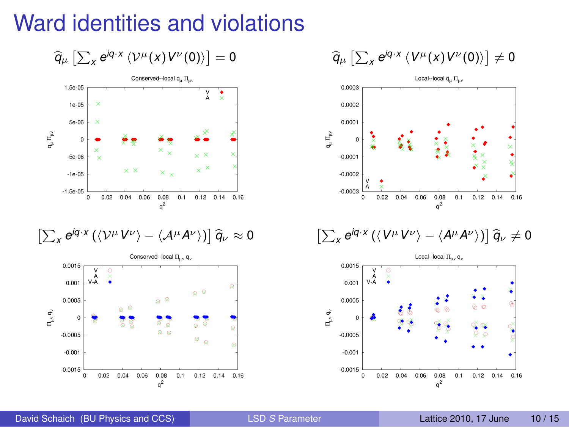### Ward identities and violations





$$
\left[\sum_{x} e^{i q \cdot x} \left(\langle \mathcal{V}^{\mu} V^{\nu} \rangle - \langle \mathcal{A}^{\mu} A^{\nu} \rangle \right) \right] \widehat{q}_{\nu} \approx 0
$$



$$
\widehat{q}_{\mu}\left[\sum_{x}e^{iq\cdot x}\left\langle V^{\mu}(x)V^{\nu}(0)\right\rangle \right]\neq 0
$$



$$
\left[\sum_{x} e^{iq \cdot x} \left(\langle V^{\mu} V^{\nu} \rangle - \langle A^{\mu} A^{\nu} \rangle \right)\right] \widehat{q}_{\nu} \neq 0
$$

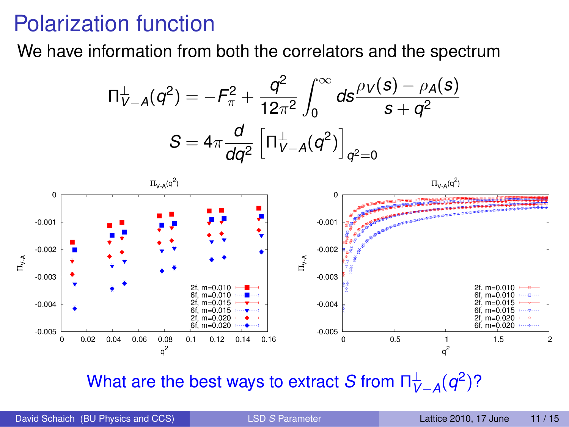### Polarization function

We have information from both the correlators and the spectrum

$$
\Pi_{V-A}^{\perp}(q^2) = -F_{\pi}^2 + \frac{q^2}{12\pi^2} \int_0^{\infty} ds \frac{\rho_V(s) - \rho_A(s)}{s + q^2}
$$

$$
S = 4\pi \frac{d}{dq^2} \left[ \Pi_{V-A}^{\perp}(q^2) \right]_{q^2=0}
$$



<span id="page-12-0"></span>What are the best ways to extract *S* from  $\sqcap_{V-A}^{\perp}(q^2)?$ 

David Schaich (BU Physics and CCS) LSD *S* [Parameter](#page-0-0) Lattice 2010, 17 June 11/15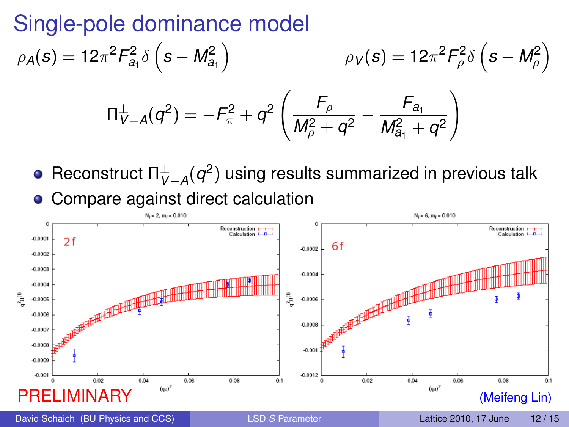### Single-pole dominance model

$$
\rho_A(s) = 12\pi^2 F_{a_1}^2 \delta\left(s - M_{a_1}^2\right) \qquad \rho_V(s) = 12\pi^2 F_{\rho}^2 \delta\left(s - M_{\rho}^2\right)
$$

$$
\Pi_{V-A}^{\perp}(q^2) = -F_{\pi}^2 + q^2 \left(\frac{F_{\rho}}{M_{\rho}^2 + q^2} - \frac{F_{a_1}}{M_{a_1}^2 + q^2}\right)
$$

Reconstruct  $\Pi_{V-A}^\perp(q^2)$  using results summarized in previous talk Compare against direct calculation  $\bullet$ 



David Schaich (BU Physics and CCS) LSD *S* [Parameter](#page-0-0) Lattice 2010, 17 June 12/15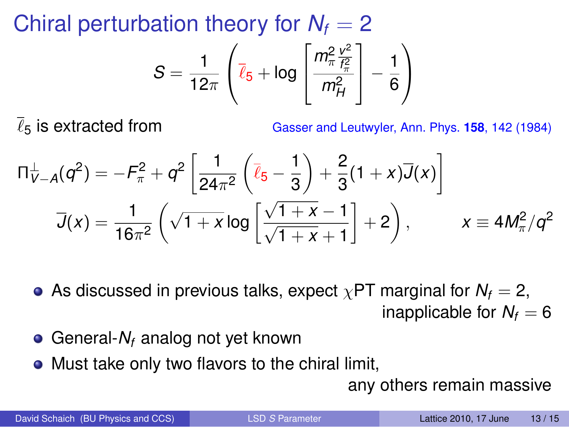Chiral perturbation theory for  $N_f = 2$ 

$$
S = \frac{1}{12\pi} \left( \overline{\ell}_5 + \log \left[ \frac{m_{\pi}^2 \frac{v^2}{f_{\pi}^2}}{m_H^2} \right] - \frac{1}{6} \right)
$$

 $\overline{\ell}_5$  is extracted from Gasser and Leutwyler, Ann. Phys. **158**, 142 (1984)

$$
\Pi_{V-A}^{\perp}(q^2) = -F_{\pi}^2 + q^2 \left[ \frac{1}{24\pi^2} \left( \overline{\ell}_5 - \frac{1}{3} \right) + \frac{2}{3} (1+x) \overline{J}(x) \right]
$$
  

$$
\overline{J}(x) = \frac{1}{16\pi^2} \left( \sqrt{1+x} \log \left[ \frac{\sqrt{1+x}-1}{\sqrt{1+x}+1} \right] + 2 \right), \qquad x \equiv 4M_{\pi}^2/q^2
$$

• As discussed in previous talks, expect  $\chi$ PT marginal for  $N_f = 2$ , inapplicable for  $N_f = 6$ 

- General-*N<sub>f</sub>* analog not yet known
- Must take only two flavors to the chiral limit,

any others remain massive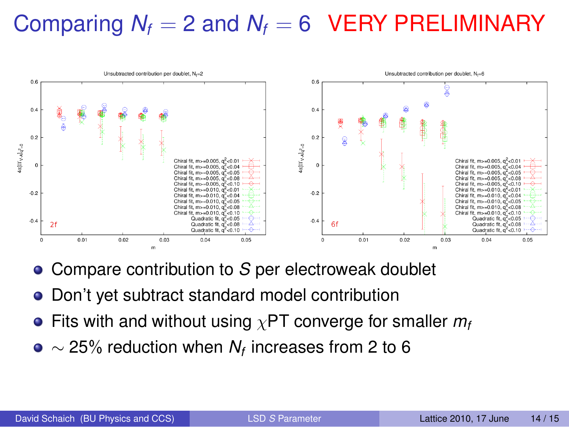# Comparing  $N_f = 2$  and  $N_f = 6$  VERY PRELIMINARY



- Compare contribution to *S* per electroweak doublet
- Don't yet subtract standard model contribution
- Fits with and without using χPT converge for smaller *m<sup>f</sup>*
- $\sim$  25% reduction when  $N_{\it f}$  increases from 2 to 6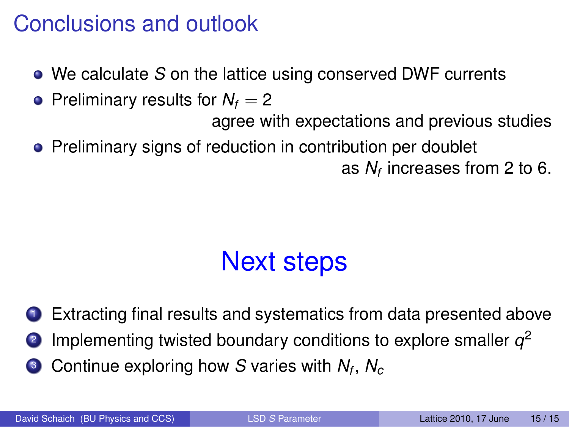### Conclusions and outlook

- We calculate *S* on the lattice using conserved DWF currents
- Preliminary results for  $N_f = 2$

agree with expectations and previous studies

• Preliminary signs of reduction in contribution per doublet

<span id="page-16-0"></span>as *N<sup>f</sup>* increases from 2 to 6.

# Next steps

**1** Extracting final results and systematics from data presented above

- **2** Implementing twisted boundary conditions to explore smaller  $q^2$
- <sup>3</sup> Continue exploring how *S* varies with *N<sup>f</sup>* , *N<sup>c</sup>*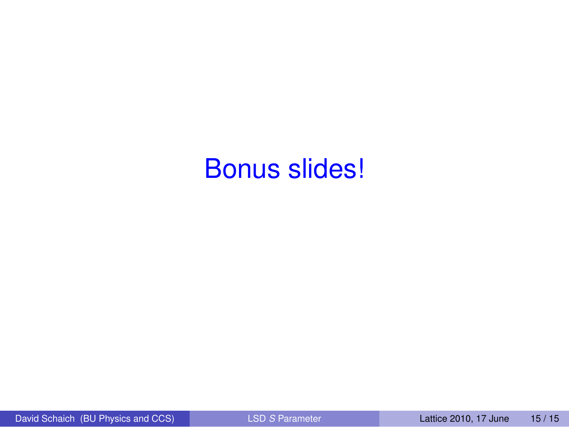# Bonus slides!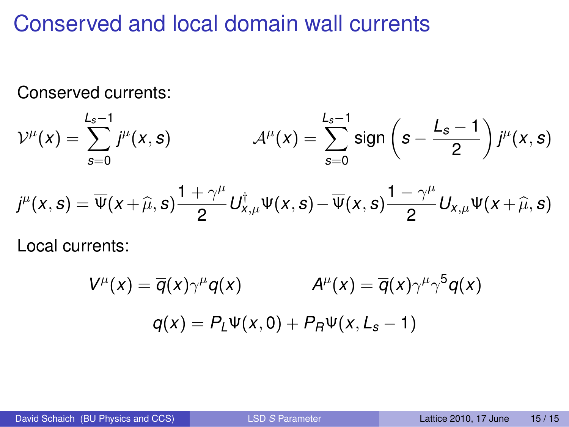### Conserved and local domain wall currents

Conserved currents:

$$
\mathcal{V}^{\mu}(x) = \sum_{s=0}^{L_s-1} j^{\mu}(x, s) \qquad \qquad \mathcal{A}^{\mu}(x) = \sum_{s=0}^{L_s-1} sign\left(s - \frac{L_s-1}{2}\right) j^{\mu}(x, s)
$$

$$
j^{\mu}(x,s)=\overline{\Psi}(x+\widehat{\mu},s)\frac{1+\gamma^{\mu}}{2}U_{x,\mu}^{\dagger}\Psi(x,s)-\overline{\Psi}(x,s)\frac{1-\gamma^{\mu}}{2}U_{x,\mu}\Psi(x+\widehat{\mu},s)
$$

Local currents:

$$
V^{\mu}(x) = \overline{q}(x)\gamma^{\mu}q(x) \qquad A^{\mu}(x) = \overline{q}(x)\gamma^{\mu}\gamma^{5}q(x)
$$

$$
q(x) = P_{L}\Psi(x,0) + P_{R}\Psi(x,L_{s}-1)
$$